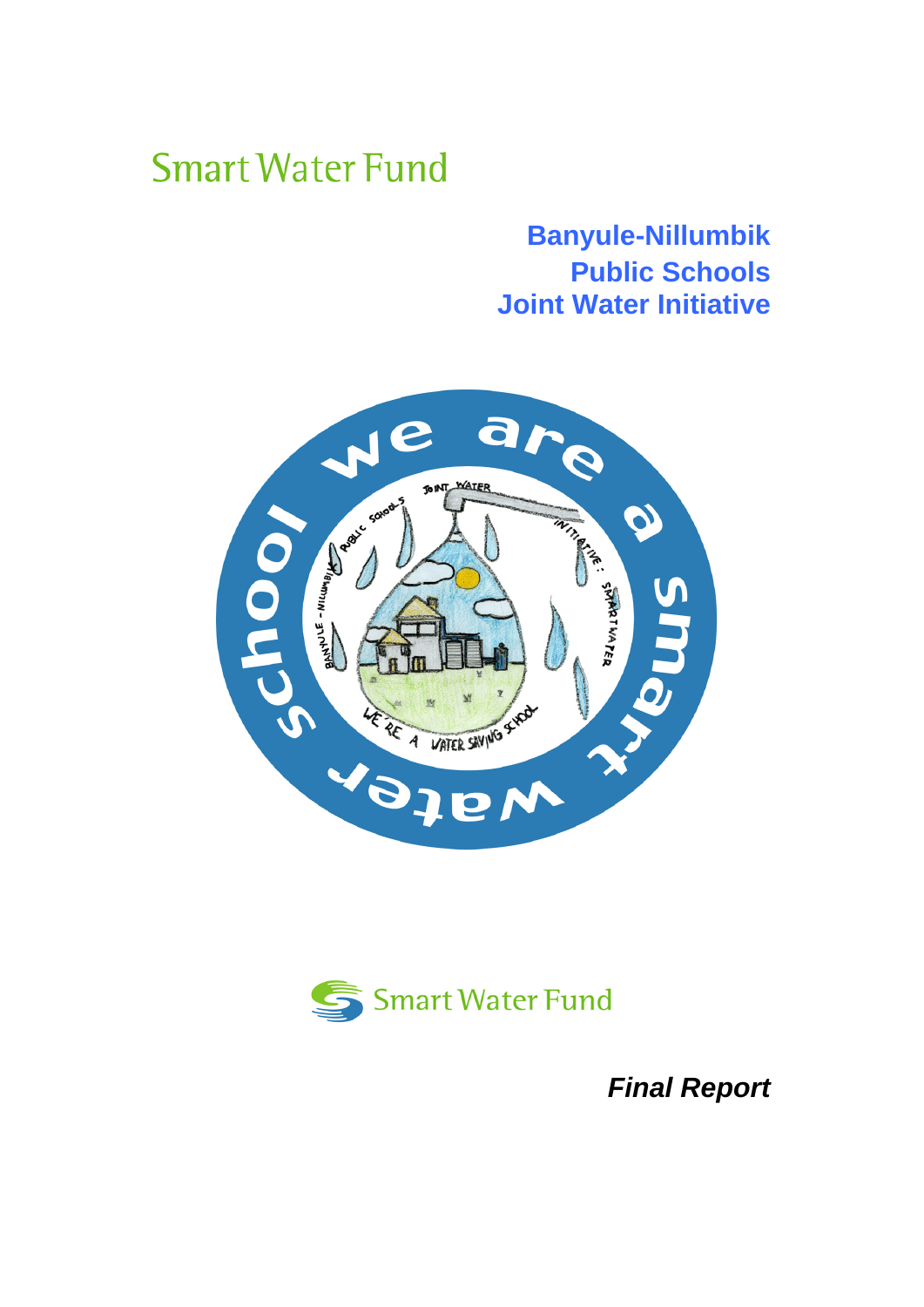# **Smart Water Fund**

# **Banyule-Nillumbik Public Schools Joint Water Initiative**





*Final Report*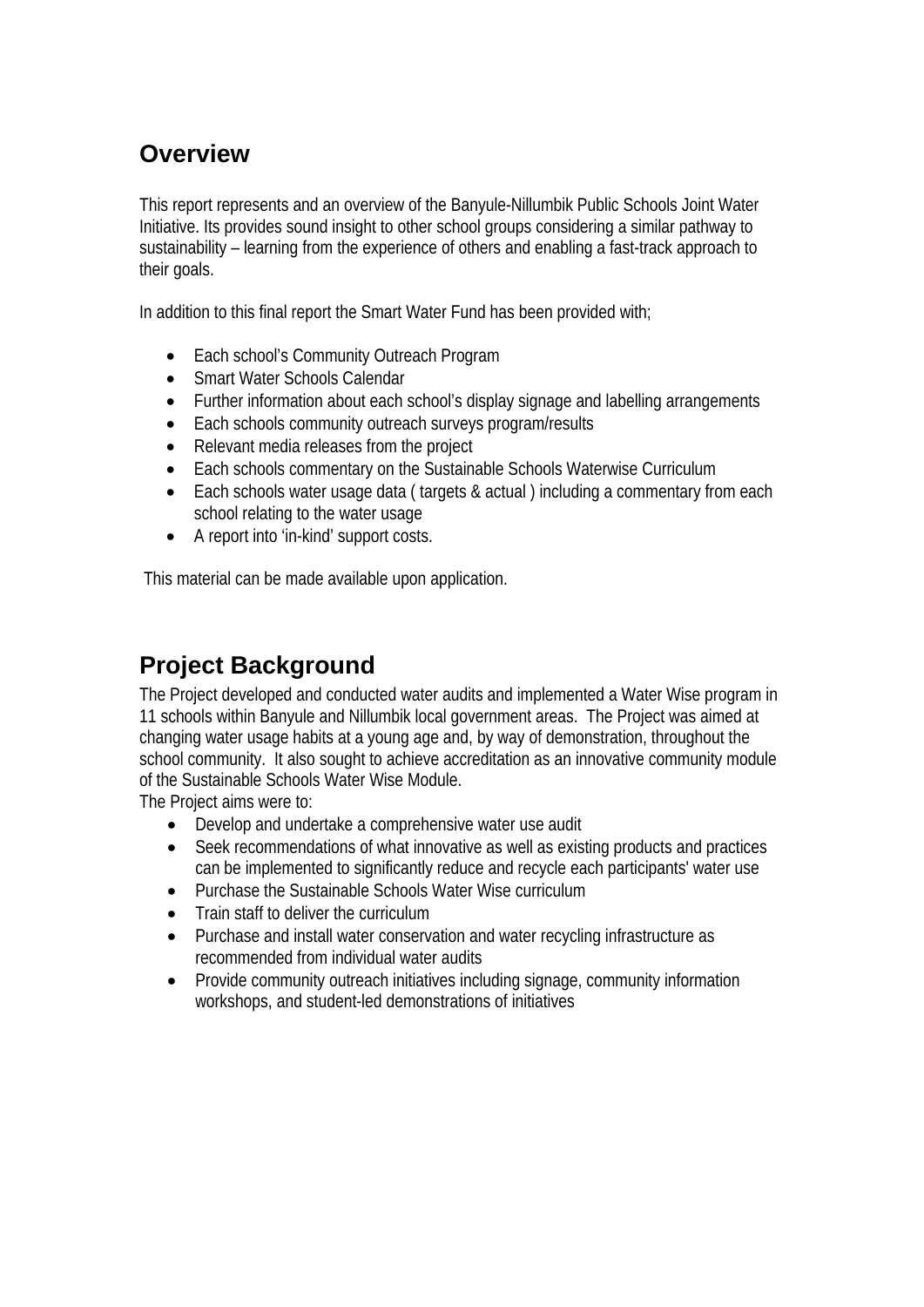# **Overview**

This report represents and an overview of the Banyule-Nillumbik Public Schools Joint Water Initiative. Its provides sound insight to other school groups considering a similar pathway to sustainability – learning from the experience of others and enabling a fast-track approach to their goals.

In addition to this final report the Smart Water Fund has been provided with;

- Each school's Community Outreach Program
- Smart Water Schools Calendar
- Further information about each school's display signage and labelling arrangements
- Each schools community outreach surveys program/results
- Relevant media releases from the project
- Each schools commentary on the Sustainable Schools Waterwise Curriculum
- Each schools water usage data (targets & actual) including a commentary from each school relating to the water usage
- A report into 'in-kind' support costs.

This material can be made available upon application.

# **Project Background**

The Project developed and conducted water audits and implemented a Water Wise program in 11 schools within Banyule and Nillumbik local government areas. The Project was aimed at changing water usage habits at a young age and, by way of demonstration, throughout the school community. It also sought to achieve accreditation as an innovative community module of the Sustainable Schools Water Wise Module.

The Project aims were to:

- Develop and undertake a comprehensive water use audit
- Seek recommendations of what innovative as well as existing products and practices can be implemented to significantly reduce and recycle each participants' water use
- Purchase the Sustainable Schools Water Wise curriculum
- Train staff to deliver the curriculum
- Purchase and install water conservation and water recycling infrastructure as recommended from individual water audits
- Provide community outreach initiatives including signage, community information workshops, and student-led demonstrations of initiatives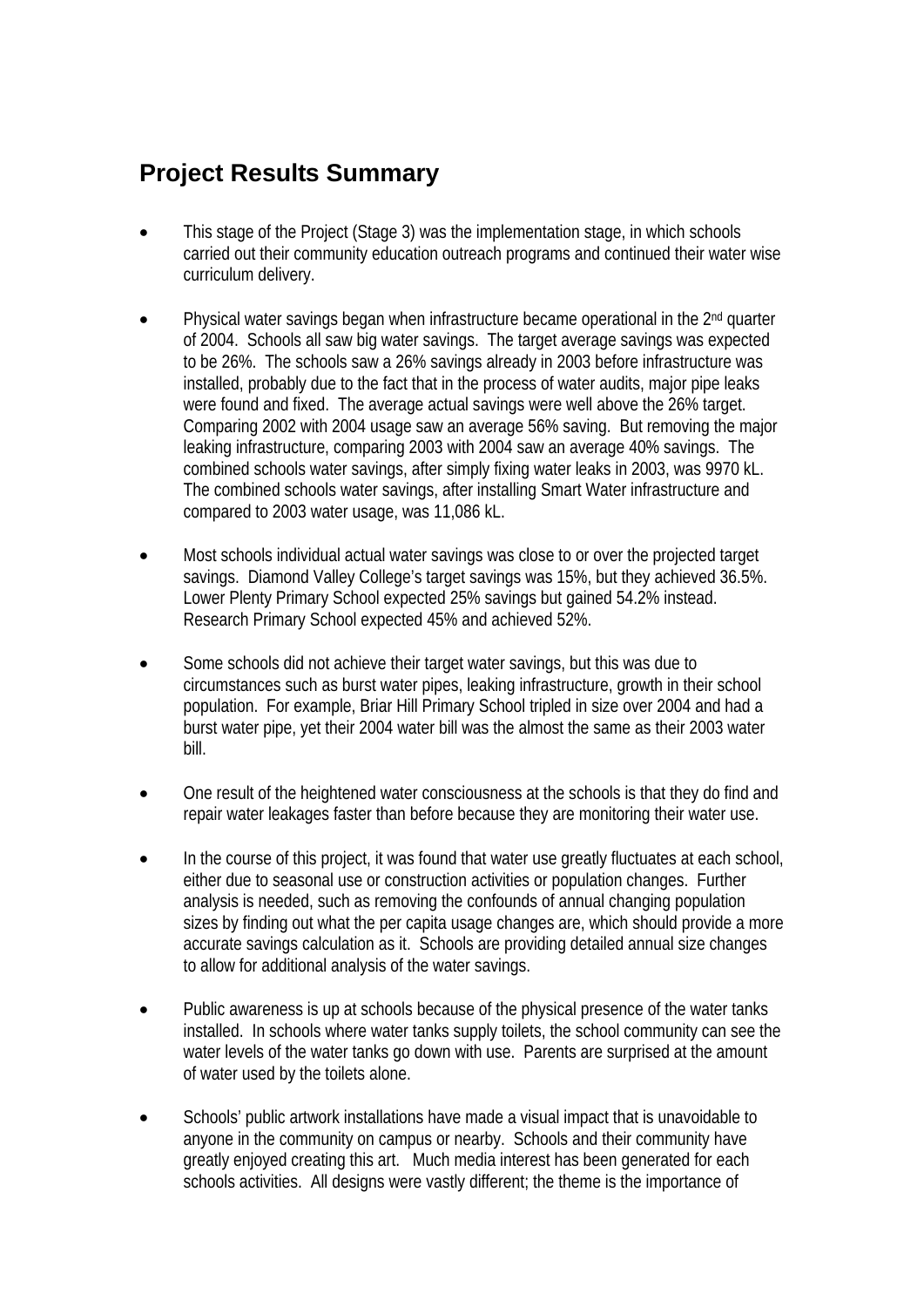## **Project Results Summary**

- This stage of the Project (Stage 3) was the implementation stage, in which schools carried out their community education outreach programs and continued their water wise curriculum delivery.
- Physical water savings began when infrastructure became operational in the 2nd quarter of 2004. Schools all saw big water savings. The target average savings was expected to be 26%. The schools saw a 26% savings already in 2003 before infrastructure was installed, probably due to the fact that in the process of water audits, major pipe leaks were found and fixed. The average actual savings were well above the 26% target. Comparing 2002 with 2004 usage saw an average 56% saving. But removing the major leaking infrastructure, comparing 2003 with 2004 saw an average 40% savings. The combined schools water savings, after simply fixing water leaks in 2003, was 9970 kL. The combined schools water savings, after installing Smart Water infrastructure and compared to 2003 water usage, was 11,086 kL.
- Most schools individual actual water savings was close to or over the projected target savings. Diamond Valley College's target savings was 15%, but they achieved 36.5%. Lower Plenty Primary School expected 25% savings but gained 54.2% instead. Research Primary School expected 45% and achieved 52%.
- Some schools did not achieve their target water savings, but this was due to circumstances such as burst water pipes, leaking infrastructure, growth in their school population. For example, Briar Hill Primary School tripled in size over 2004 and had a burst water pipe, yet their 2004 water bill was the almost the same as their 2003 water bill.
- One result of the heightened water consciousness at the schools is that they do find and repair water leakages faster than before because they are monitoring their water use.
- In the course of this project, it was found that water use greatly fluctuates at each school, either due to seasonal use or construction activities or population changes. Further analysis is needed, such as removing the confounds of annual changing population sizes by finding out what the per capita usage changes are, which should provide a more accurate savings calculation as it. Schools are providing detailed annual size changes to allow for additional analysis of the water savings.
- Public awareness is up at schools because of the physical presence of the water tanks installed. In schools where water tanks supply toilets, the school community can see the water levels of the water tanks go down with use. Parents are surprised at the amount of water used by the toilets alone.
- Schools' public artwork installations have made a visual impact that is unavoidable to anyone in the community on campus or nearby. Schools and their community have greatly enjoyed creating this art. Much media interest has been generated for each schools activities. All designs were vastly different; the theme is the importance of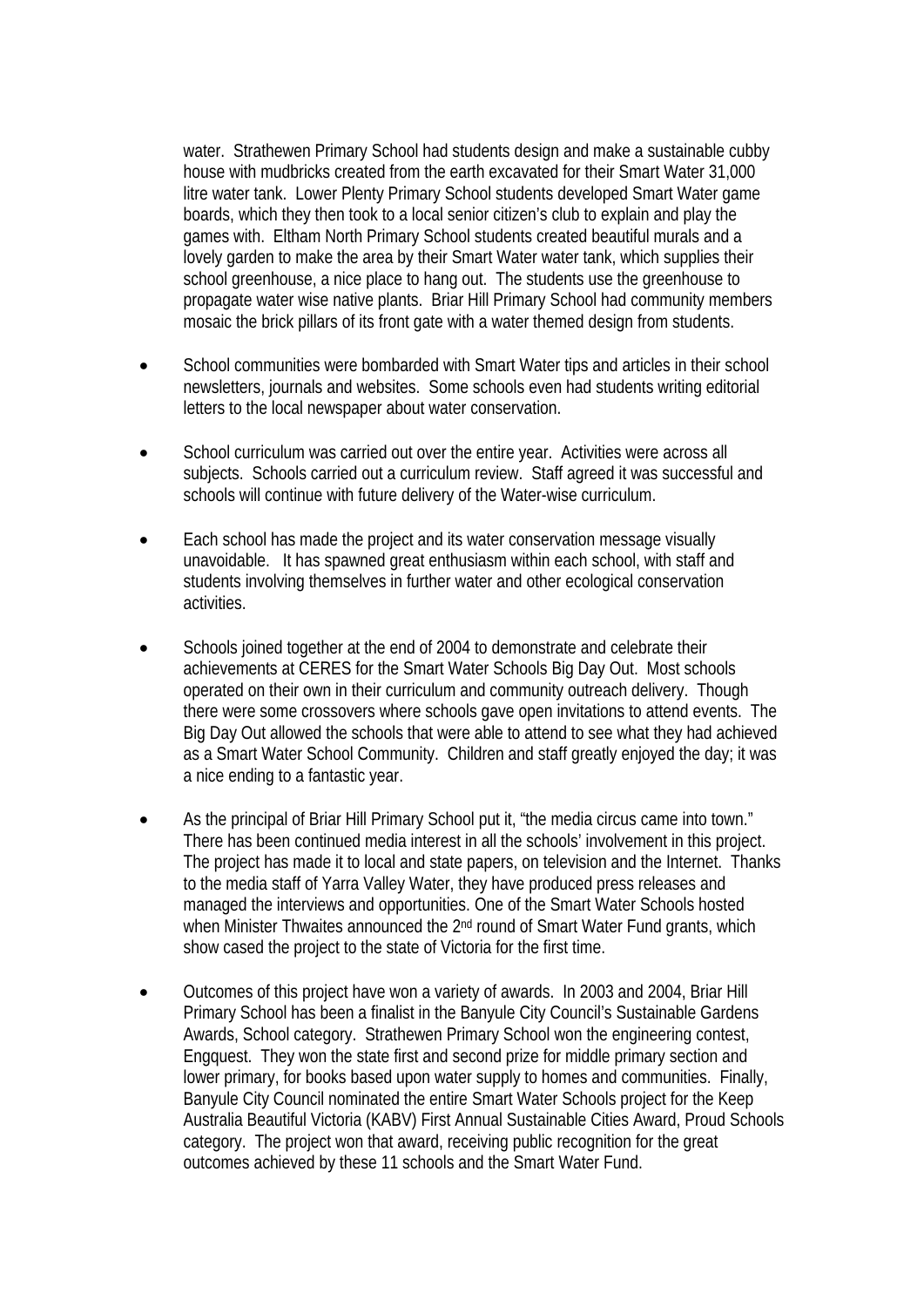water. Strathewen Primary School had students design and make a sustainable cubby house with mudbricks created from the earth excavated for their Smart Water 31,000 litre water tank. Lower Plenty Primary School students developed Smart Water game boards, which they then took to a local senior citizen's club to explain and play the games with. Eltham North Primary School students created beautiful murals and a lovely garden to make the area by their Smart Water water tank, which supplies their school greenhouse, a nice place to hang out. The students use the greenhouse to propagate water wise native plants. Briar Hill Primary School had community members mosaic the brick pillars of its front gate with a water themed design from students.

- School communities were bombarded with Smart Water tips and articles in their school newsletters, journals and websites. Some schools even had students writing editorial letters to the local newspaper about water conservation.
- School curriculum was carried out over the entire year. Activities were across all subjects. Schools carried out a curriculum review. Staff agreed it was successful and schools will continue with future delivery of the Water-wise curriculum.
- Each school has made the project and its water conservation message visually unavoidable. It has spawned great enthusiasm within each school, with staff and students involving themselves in further water and other ecological conservation activities.
- Schools joined together at the end of 2004 to demonstrate and celebrate their achievements at CERES for the Smart Water Schools Big Day Out. Most schools operated on their own in their curriculum and community outreach delivery. Though there were some crossovers where schools gave open invitations to attend events. The Big Day Out allowed the schools that were able to attend to see what they had achieved as a Smart Water School Community. Children and staff greatly enjoyed the day; it was a nice ending to a fantastic year.
- As the principal of Briar Hill Primary School put it, "the media circus came into town." There has been continued media interest in all the schools' involvement in this project. The project has made it to local and state papers, on television and the Internet. Thanks to the media staff of Yarra Valley Water, they have produced press releases and managed the interviews and opportunities. One of the Smart Water Schools hosted when Minister Thwaites announced the 2<sup>nd</sup> round of Smart Water Fund grants, which show cased the project to the state of Victoria for the first time.
- Outcomes of this project have won a variety of awards. In 2003 and 2004, Briar Hill Primary School has been a finalist in the Banyule City Council's Sustainable Gardens Awards, School category. Strathewen Primary School won the engineering contest, Engquest. They won the state first and second prize for middle primary section and lower primary, for books based upon water supply to homes and communities. Finally, Banyule City Council nominated the entire Smart Water Schools project for the Keep Australia Beautiful Victoria (KABV) First Annual Sustainable Cities Award, Proud Schools category. The project won that award, receiving public recognition for the great outcomes achieved by these 11 schools and the Smart Water Fund.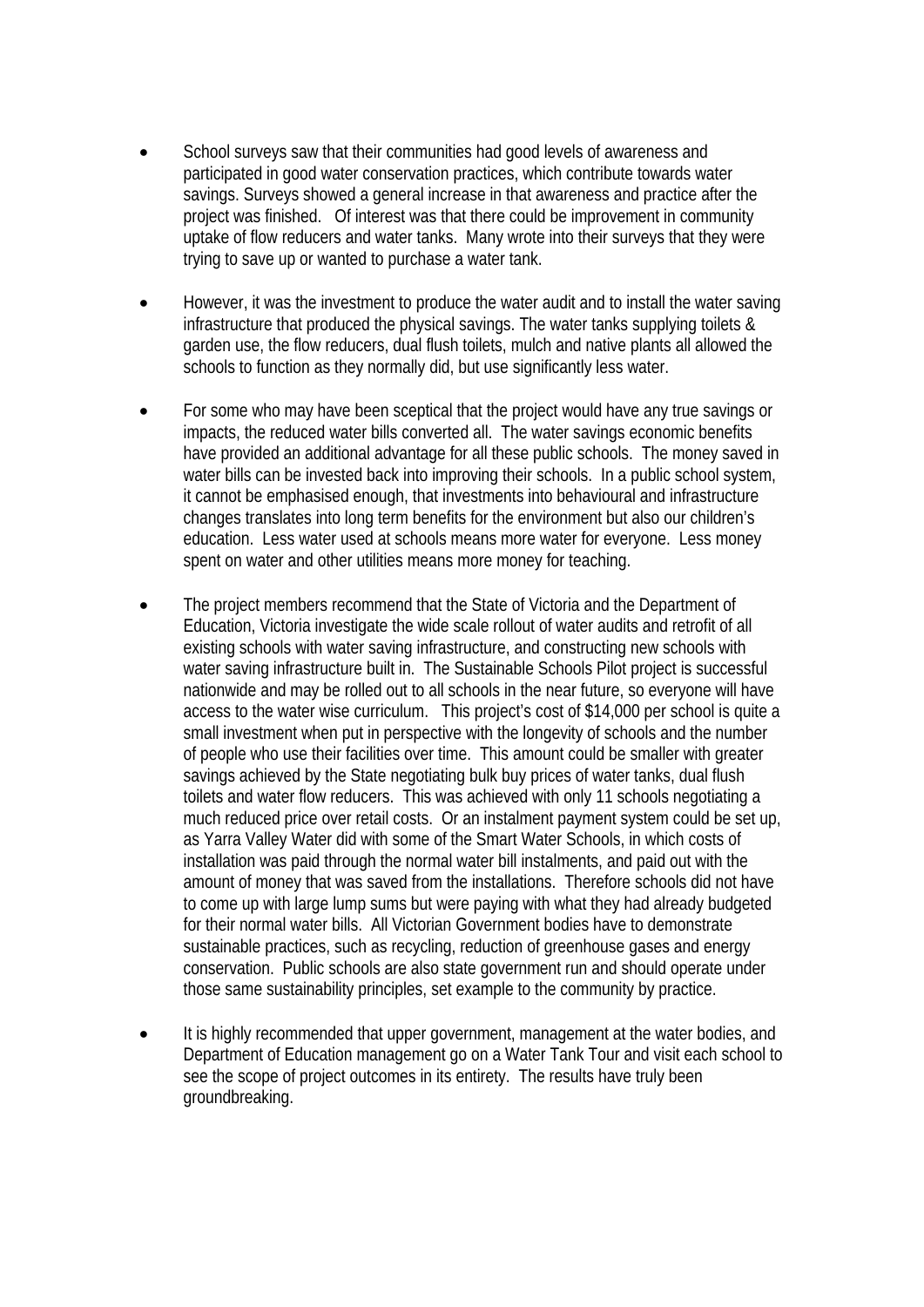- School surveys saw that their communities had good levels of awareness and participated in good water conservation practices, which contribute towards water savings. Surveys showed a general increase in that awareness and practice after the project was finished. Of interest was that there could be improvement in community uptake of flow reducers and water tanks. Many wrote into their surveys that they were trying to save up or wanted to purchase a water tank.
- However, it was the investment to produce the water audit and to install the water saving infrastructure that produced the physical savings. The water tanks supplying toilets & garden use, the flow reducers, dual flush toilets, mulch and native plants all allowed the schools to function as they normally did, but use significantly less water.
- For some who may have been sceptical that the project would have any true savings or impacts, the reduced water bills converted all. The water savings economic benefits have provided an additional advantage for all these public schools. The money saved in water bills can be invested back into improving their schools. In a public school system, it cannot be emphasised enough, that investments into behavioural and infrastructure changes translates into long term benefits for the environment but also our children's education. Less water used at schools means more water for everyone. Less money spent on water and other utilities means more money for teaching.
- The project members recommend that the State of Victoria and the Department of Education, Victoria investigate the wide scale rollout of water audits and retrofit of all existing schools with water saving infrastructure, and constructing new schools with water saving infrastructure built in. The Sustainable Schools Pilot project is successful nationwide and may be rolled out to all schools in the near future, so everyone will have access to the water wise curriculum. This project's cost of \$14,000 per school is quite a small investment when put in perspective with the longevity of schools and the number of people who use their facilities over time. This amount could be smaller with greater savings achieved by the State negotiating bulk buy prices of water tanks, dual flush toilets and water flow reducers. This was achieved with only 11 schools negotiating a much reduced price over retail costs. Or an instalment payment system could be set up, as Yarra Valley Water did with some of the Smart Water Schools, in which costs of installation was paid through the normal water bill instalments, and paid out with the amount of money that was saved from the installations. Therefore schools did not have to come up with large lump sums but were paying with what they had already budgeted for their normal water bills. All Victorian Government bodies have to demonstrate sustainable practices, such as recycling, reduction of greenhouse gases and energy conservation. Public schools are also state government run and should operate under those same sustainability principles, set example to the community by practice.
- It is highly recommended that upper government, management at the water bodies, and Department of Education management go on a Water Tank Tour and visit each school to see the scope of project outcomes in its entirety. The results have truly been groundbreaking.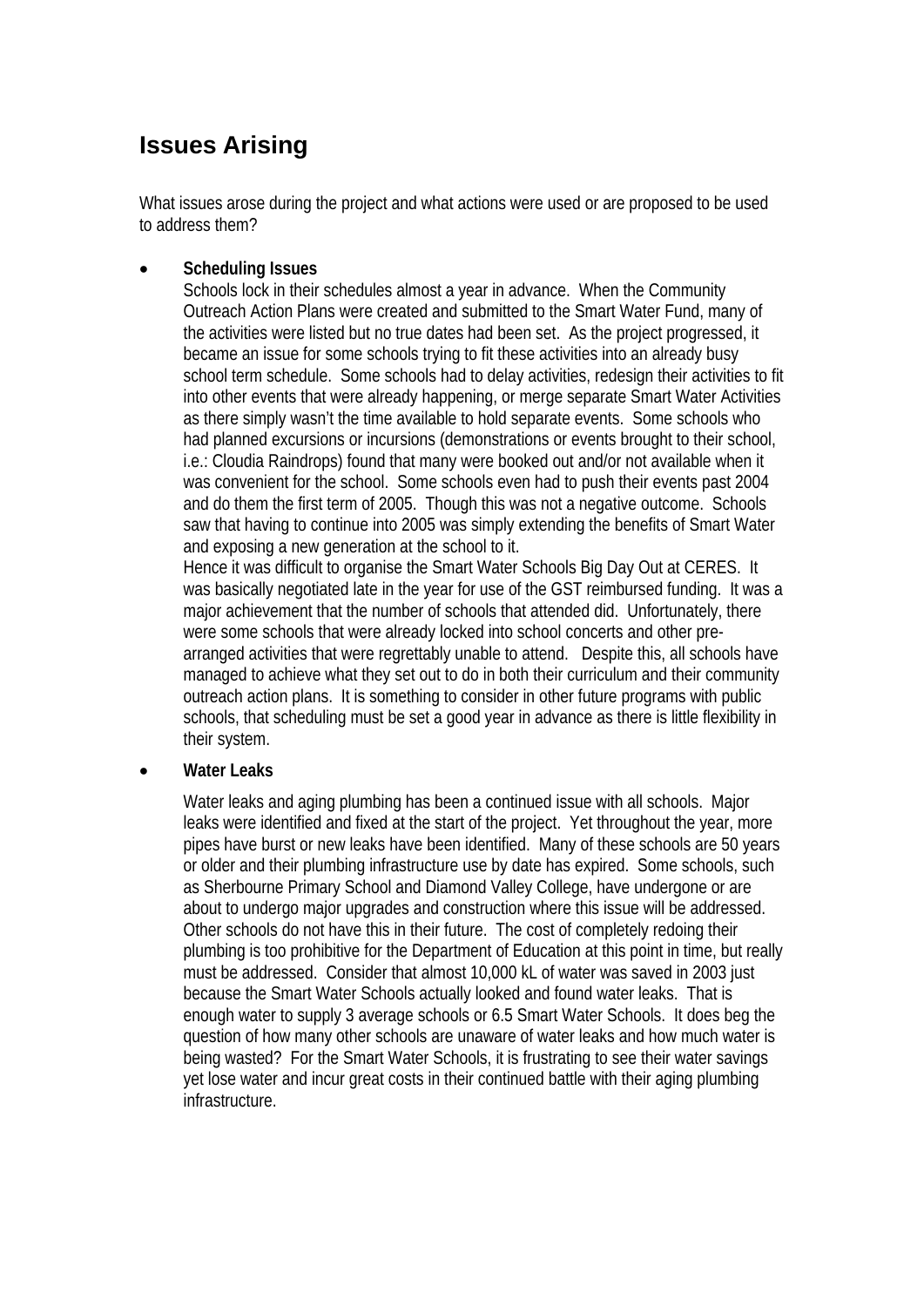# **Issues Arising**

What issues arose during the project and what actions were used or are proposed to be used to address them?

#### • **Scheduling Issues**

Schools lock in their schedules almost a year in advance. When the Community Outreach Action Plans were created and submitted to the Smart Water Fund, many of the activities were listed but no true dates had been set. As the project progressed, it became an issue for some schools trying to fit these activities into an already busy school term schedule. Some schools had to delay activities, redesign their activities to fit into other events that were already happening, or merge separate Smart Water Activities as there simply wasn't the time available to hold separate events. Some schools who had planned excursions or incursions (demonstrations or events brought to their school, i.e.: Cloudia Raindrops) found that many were booked out and/or not available when it was convenient for the school. Some schools even had to push their events past 2004 and do them the first term of 2005. Though this was not a negative outcome. Schools saw that having to continue into 2005 was simply extending the benefits of Smart Water and exposing a new generation at the school to it.

Hence it was difficult to organise the Smart Water Schools Big Day Out at CERES. It was basically negotiated late in the year for use of the GST reimbursed funding. It was a major achievement that the number of schools that attended did. Unfortunately, there were some schools that were already locked into school concerts and other prearranged activities that were regrettably unable to attend. Despite this, all schools have managed to achieve what they set out to do in both their curriculum and their community outreach action plans. It is something to consider in other future programs with public schools, that scheduling must be set a good year in advance as there is little flexibility in their system.

#### • **Water Leaks**

Water leaks and aging plumbing has been a continued issue with all schools. Major leaks were identified and fixed at the start of the project. Yet throughout the year, more pipes have burst or new leaks have been identified. Many of these schools are 50 years or older and their plumbing infrastructure use by date has expired. Some schools, such as Sherbourne Primary School and Diamond Valley College, have undergone or are about to undergo major upgrades and construction where this issue will be addressed. Other schools do not have this in their future. The cost of completely redoing their plumbing is too prohibitive for the Department of Education at this point in time, but really must be addressed. Consider that almost 10,000 kL of water was saved in 2003 just because the Smart Water Schools actually looked and found water leaks. That is enough water to supply 3 average schools or 6.5 Smart Water Schools. It does beg the question of how many other schools are unaware of water leaks and how much water is being wasted? For the Smart Water Schools, it is frustrating to see their water savings yet lose water and incur great costs in their continued battle with their aging plumbing infrastructure.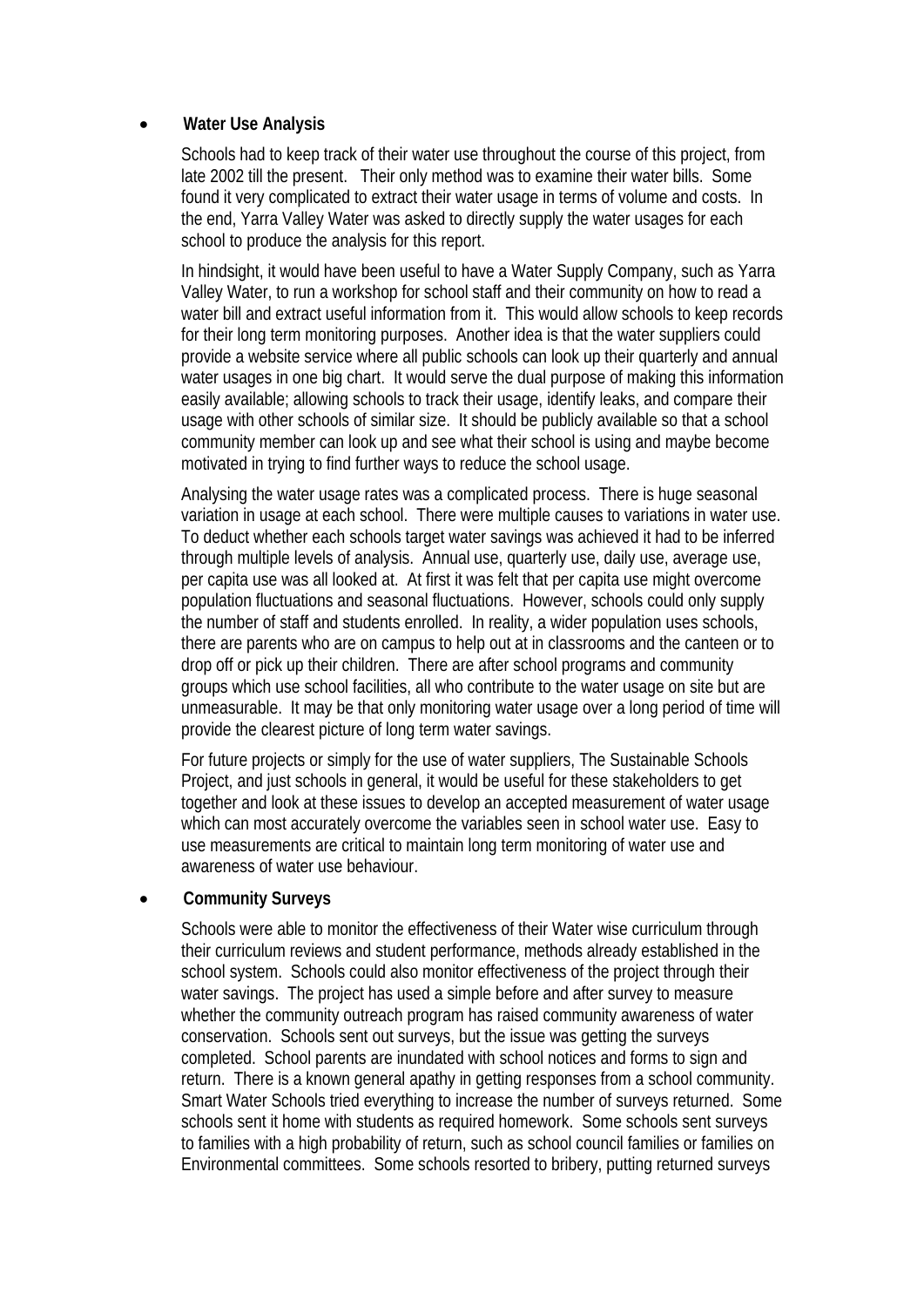#### • **Water Use Analysis**

Schools had to keep track of their water use throughout the course of this project, from late 2002 till the present. Their only method was to examine their water bills. Some found it very complicated to extract their water usage in terms of volume and costs. In the end, Yarra Valley Water was asked to directly supply the water usages for each school to produce the analysis for this report.

In hindsight, it would have been useful to have a Water Supply Company, such as Yarra Valley Water, to run a workshop for school staff and their community on how to read a water bill and extract useful information from it. This would allow schools to keep records for their long term monitoring purposes. Another idea is that the water suppliers could provide a website service where all public schools can look up their quarterly and annual water usages in one big chart. It would serve the dual purpose of making this information easily available; allowing schools to track their usage, identify leaks, and compare their usage with other schools of similar size. It should be publicly available so that a school community member can look up and see what their school is using and maybe become motivated in trying to find further ways to reduce the school usage.

Analysing the water usage rates was a complicated process. There is huge seasonal variation in usage at each school. There were multiple causes to variations in water use. To deduct whether each schools target water savings was achieved it had to be inferred through multiple levels of analysis. Annual use, quarterly use, daily use, average use, per capita use was all looked at. At first it was felt that per capita use might overcome population fluctuations and seasonal fluctuations. However, schools could only supply the number of staff and students enrolled. In reality, a wider population uses schools, there are parents who are on campus to help out at in classrooms and the canteen or to drop off or pick up their children. There are after school programs and community groups which use school facilities, all who contribute to the water usage on site but are unmeasurable. It may be that only monitoring water usage over a long period of time will provide the clearest picture of long term water savings.

For future projects or simply for the use of water suppliers, The Sustainable Schools Project, and just schools in general, it would be useful for these stakeholders to get together and look at these issues to develop an accepted measurement of water usage which can most accurately overcome the variables seen in school water use. Easy to use measurements are critical to maintain long term monitoring of water use and awareness of water use behaviour.

#### • **Community Surveys**

Schools were able to monitor the effectiveness of their Water wise curriculum through their curriculum reviews and student performance, methods already established in the school system. Schools could also monitor effectiveness of the project through their water savings. The project has used a simple before and after survey to measure whether the community outreach program has raised community awareness of water conservation. Schools sent out surveys, but the issue was getting the surveys completed. School parents are inundated with school notices and forms to sign and return. There is a known general apathy in getting responses from a school community. Smart Water Schools tried everything to increase the number of surveys returned. Some schools sent it home with students as required homework. Some schools sent surveys to families with a high probability of return, such as school council families or families on Environmental committees. Some schools resorted to bribery, putting returned surveys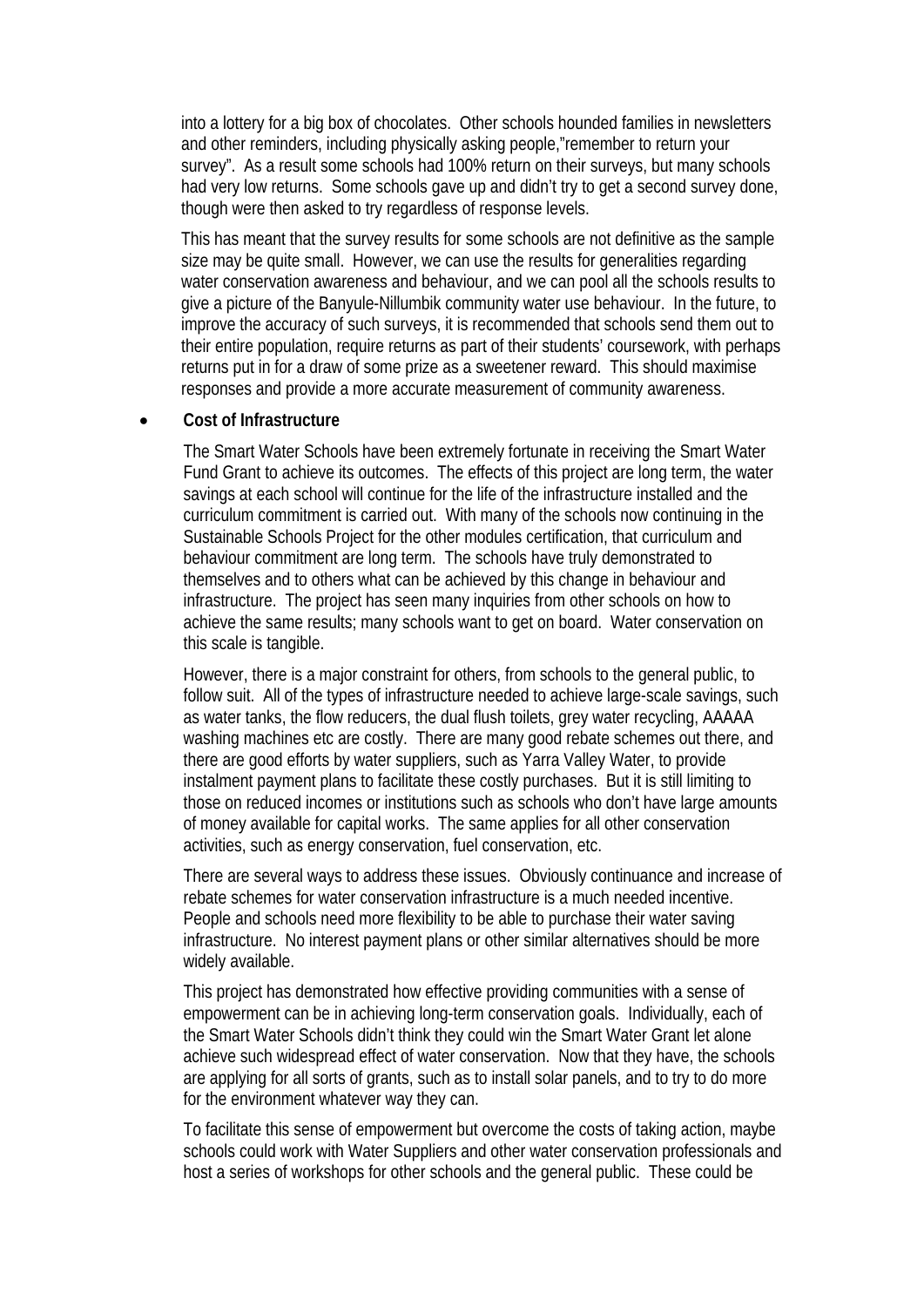into a lottery for a big box of chocolates. Other schools hounded families in newsletters and other reminders, including physically asking people,"remember to return your survey". As a result some schools had 100% return on their surveys, but many schools had very low returns. Some schools gave up and didn't try to get a second survey done, though were then asked to try regardless of response levels.

This has meant that the survey results for some schools are not definitive as the sample size may be quite small. However, we can use the results for generalities regarding water conservation awareness and behaviour, and we can pool all the schools results to give a picture of the Banyule-Nillumbik community water use behaviour. In the future, to improve the accuracy of such surveys, it is recommended that schools send them out to their entire population, require returns as part of their students' coursework, with perhaps returns put in for a draw of some prize as a sweetener reward. This should maximise responses and provide a more accurate measurement of community awareness.

#### • **Cost of Infrastructure**

The Smart Water Schools have been extremely fortunate in receiving the Smart Water Fund Grant to achieve its outcomes. The effects of this project are long term, the water savings at each school will continue for the life of the infrastructure installed and the curriculum commitment is carried out. With many of the schools now continuing in the Sustainable Schools Project for the other modules certification, that curriculum and behaviour commitment are long term. The schools have truly demonstrated to themselves and to others what can be achieved by this change in behaviour and infrastructure. The project has seen many inquiries from other schools on how to achieve the same results; many schools want to get on board. Water conservation on this scale is tangible.

However, there is a major constraint for others, from schools to the general public, to follow suit. All of the types of infrastructure needed to achieve large-scale savings, such as water tanks, the flow reducers, the dual flush toilets, grey water recycling, AAAAA washing machines etc are costly. There are many good rebate schemes out there, and there are good efforts by water suppliers, such as Yarra Valley Water, to provide instalment payment plans to facilitate these costly purchases. But it is still limiting to those on reduced incomes or institutions such as schools who don't have large amounts of money available for capital works. The same applies for all other conservation activities, such as energy conservation, fuel conservation, etc.

There are several ways to address these issues. Obviously continuance and increase of rebate schemes for water conservation infrastructure is a much needed incentive. People and schools need more flexibility to be able to purchase their water saving infrastructure. No interest payment plans or other similar alternatives should be more widely available.

This project has demonstrated how effective providing communities with a sense of empowerment can be in achieving long-term conservation goals. Individually, each of the Smart Water Schools didn't think they could win the Smart Water Grant let alone achieve such widespread effect of water conservation. Now that they have, the schools are applying for all sorts of grants, such as to install solar panels, and to try to do more for the environment whatever way they can.

To facilitate this sense of empowerment but overcome the costs of taking action, maybe schools could work with Water Suppliers and other water conservation professionals and host a series of workshops for other schools and the general public. These could be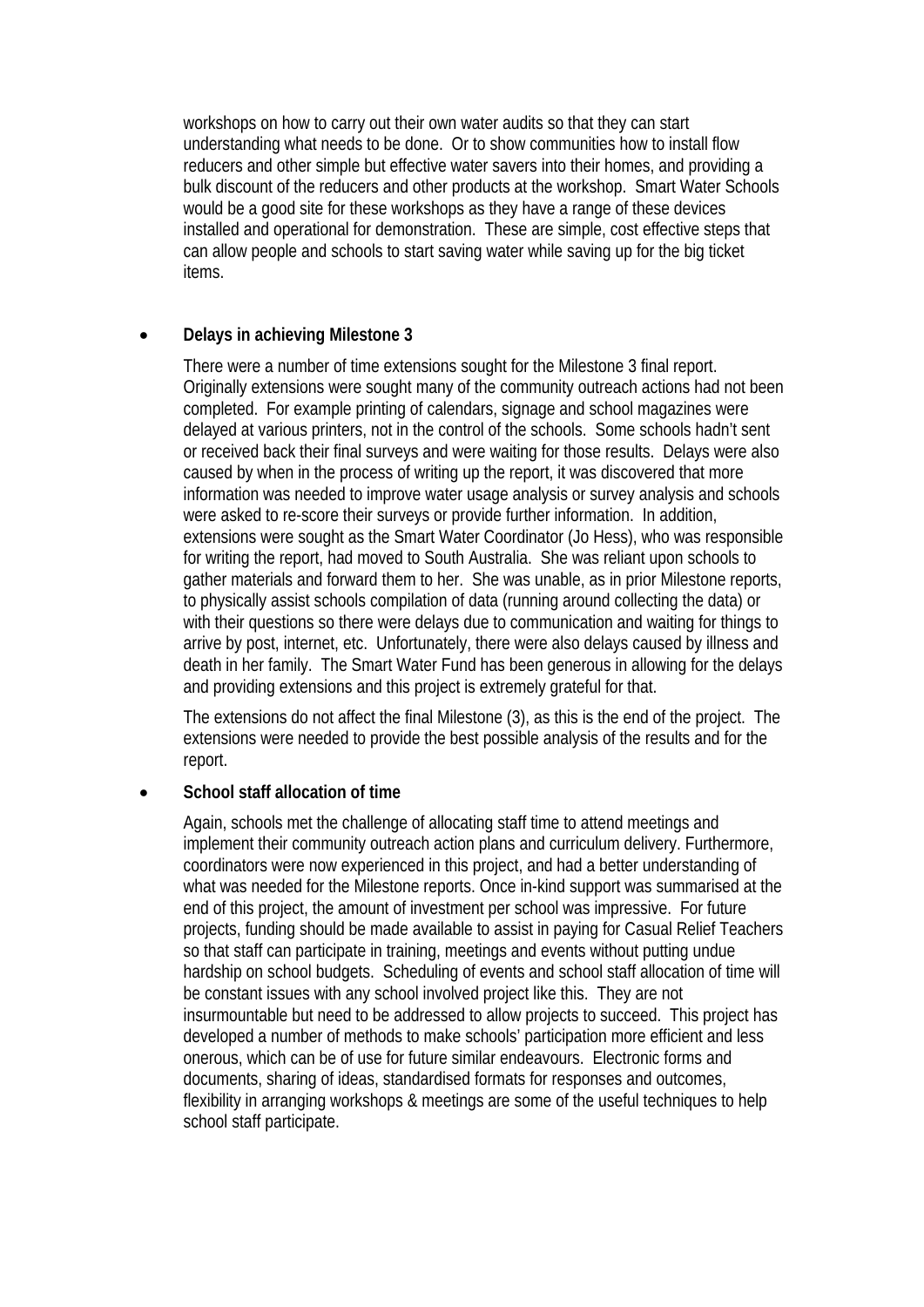workshops on how to carry out their own water audits so that they can start understanding what needs to be done. Or to show communities how to install flow reducers and other simple but effective water savers into their homes, and providing a bulk discount of the reducers and other products at the workshop. Smart Water Schools would be a good site for these workshops as they have a range of these devices installed and operational for demonstration. These are simple, cost effective steps that can allow people and schools to start saving water while saving up for the big ticket items.

#### • **Delays in achieving Milestone 3**

There were a number of time extensions sought for the Milestone 3 final report. Originally extensions were sought many of the community outreach actions had not been completed. For example printing of calendars, signage and school magazines were delayed at various printers, not in the control of the schools. Some schools hadn't sent or received back their final surveys and were waiting for those results. Delays were also caused by when in the process of writing up the report, it was discovered that more information was needed to improve water usage analysis or survey analysis and schools were asked to re-score their surveys or provide further information. In addition, extensions were sought as the Smart Water Coordinator (Jo Hess), who was responsible for writing the report, had moved to South Australia. She was reliant upon schools to gather materials and forward them to her. She was unable, as in prior Milestone reports, to physically assist schools compilation of data (running around collecting the data) or with their questions so there were delays due to communication and waiting for things to arrive by post, internet, etc. Unfortunately, there were also delays caused by illness and death in her family. The Smart Water Fund has been generous in allowing for the delays and providing extensions and this project is extremely grateful for that.

The extensions do not affect the final Milestone (3), as this is the end of the project. The extensions were needed to provide the best possible analysis of the results and for the report.

#### • **School staff allocation of time**

Again, schools met the challenge of allocating staff time to attend meetings and implement their community outreach action plans and curriculum delivery. Furthermore, coordinators were now experienced in this project, and had a better understanding of what was needed for the Milestone reports. Once in-kind support was summarised at the end of this project, the amount of investment per school was impressive. For future projects, funding should be made available to assist in paying for Casual Relief Teachers so that staff can participate in training, meetings and events without putting undue hardship on school budgets. Scheduling of events and school staff allocation of time will be constant issues with any school involved project like this. They are not insurmountable but need to be addressed to allow projects to succeed. This project has developed a number of methods to make schools' participation more efficient and less onerous, which can be of use for future similar endeavours. Electronic forms and documents, sharing of ideas, standardised formats for responses and outcomes, flexibility in arranging workshops & meetings are some of the useful techniques to help school staff participate.